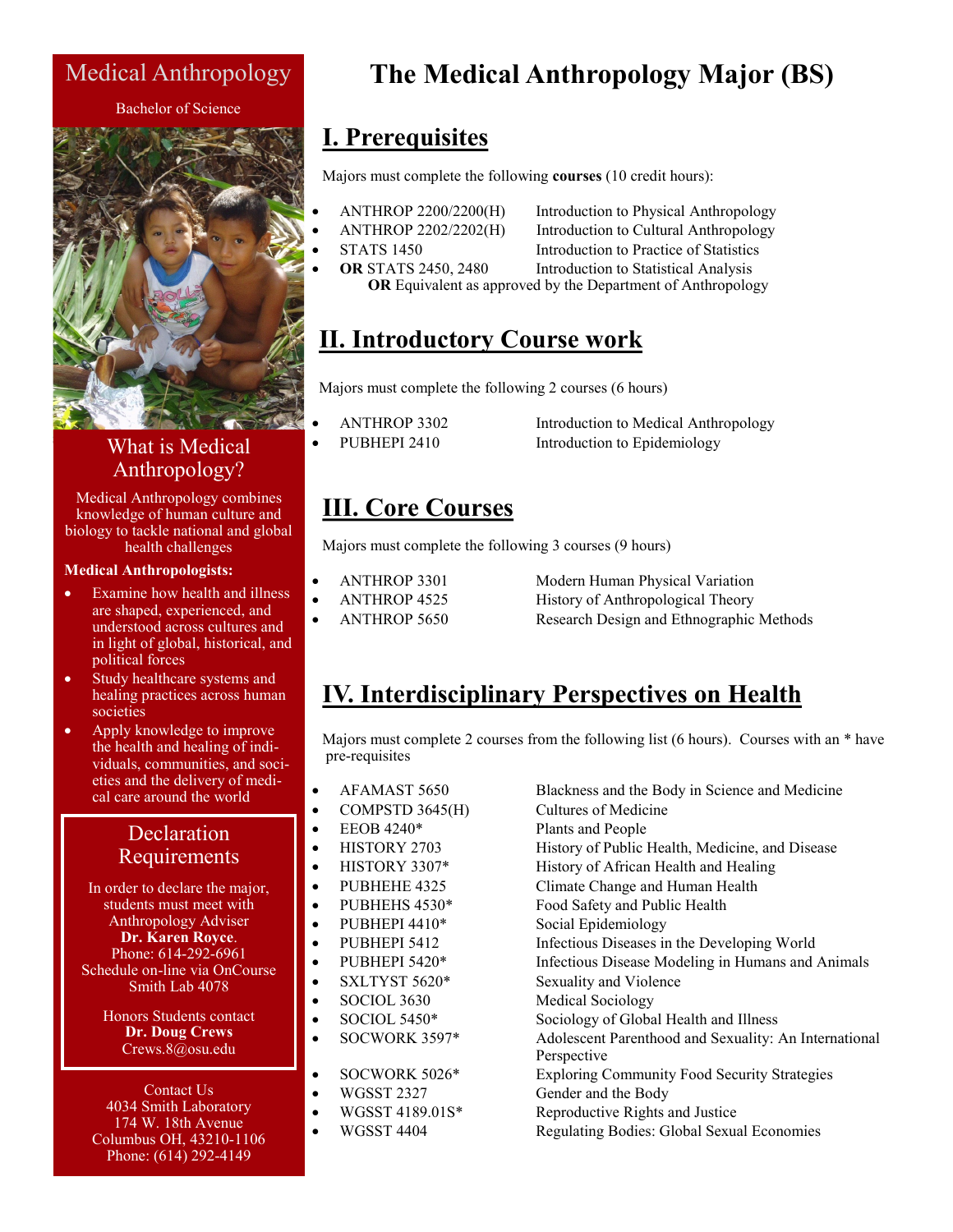#### Medical Anthropology

#### Bachelor of Science



#### What is Medical Anthropology?

Medical Anthropology combines knowledge of human culture and biology to tackle national and global health challenges

#### **Medical Anthropologists:**

- Examine how health and illness are shaped, experienced, and understood across cultures and in light of global, historical, and political forces
- Study healthcare systems and healing practices across human societies
- Apply knowledge to improve the health and healing of individuals, communities, and societies and the delivery of medical care around the world

#### **Declaration** Requirements

In order to declare the major, students must meet with Anthropology Adviser **Dr. Karen Royce**. Phone: 614-292-6961 Schedule on-line via OnCourse Smith Lab 4078

Honors Students contact **Dr. Doug Crews** Crews.8@osu.edu

Contact Us 4034 Smith Laboratory 174 W. 18th Avenue Columbus OH, 43210-1106 Phone: (614) 292-4149

# **The Medical Anthropology Major (BS)**

### **I. Prerequisites**

Majors must complete the following **courses** (10 credit hours):

• ANTHROP 2200/2200(H) Introduction to Physical Anthropology

- 
- ANTHROP 2202/2202(H) Introduction to Cultural Anthropology STATS 1450 Introduction to Practice of Statistics
- **OR** STATS 2450, 2480 Introduction to Statistical Analysis **OR** Equivalent as approved by the Department of Anthropology

## **II. Introductory Course work**

Majors must complete the following 2 courses (6 hours)

- 
- ANTHROP 3302 Introduction to Medical Anthropology PUBHEPI 2410 Introduction to Epidemiology

### **III. Core Courses**

Majors must complete the following 3 courses (9 hours)

- 
- 
- 
- ANTHROP 3301 Modern Human Physical Variation ANTHROP 4525 History of Anthropological Theory • ANTHROP 5650 Research Design and Ethnographic Methods

## **IV. Interdisciplinary Perspectives on Health**

Majors must complete 2 courses from the following list (6 hours). Courses with an \* have pre-requisites

Cultures of Medicine

- AFAMAST 5650
- COMPSTD 3645(H)
- EEOB 4240\*
- HISTORY 2703
- HISTORY 3307\*
- PUBHEHE 4325
- PUBHEHS 4530\*
- PUBHEPI 4410\*
- PUBHEPI 5412
- PUBHEPI 5420\*
- SXLTYST 5620\*
- SOCIOL 3630
- SOCIOL 5450\*
- SOCWORK 3597\*

#### • SOCWORK 5026\*

- WGSST 2327
- WGSST 4189.01S\*
- 

Plants and People History of Public Health, Medicine, and Disease History of African Health and Healing Climate Change and Human Health Food Safety and Public Health Social Epidemiology Infectious Diseases in the Developing World Infectious Disease Modeling in Humans and Animals Sexuality and Violence Medical Sociology

Blackness and the Body in Science and Medicine

- Sociology of Global Health and Illness
- Adolescent Parenthood and Sexuality: An International Perspective
- 
- Exploring Community Food Security Strategies
- Gender and the Body
	- Reproductive Rights and Justice
- WGSST 4404 Regulating Bodies: Global Sexual Economies